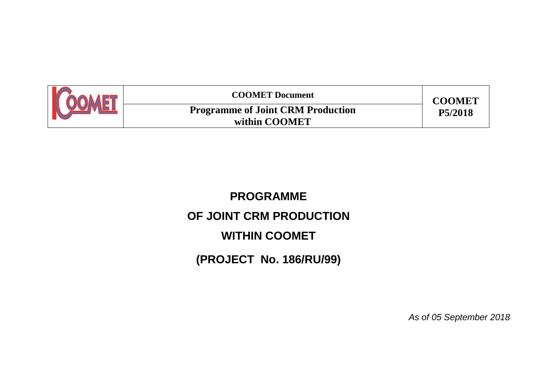| <b>COOMET Document</b>                   | <b>COOMET</b> |
|------------------------------------------|---------------|
| <b>Programme of Joint CRM Production</b> | P5/2018       |
| within COOMET                            |               |

## **PROGRAMME OF JOINT CRM PRODUCTION WITHIN COOMET (PROJECT No. 186/RU/99)**

*As of 05 September 2018*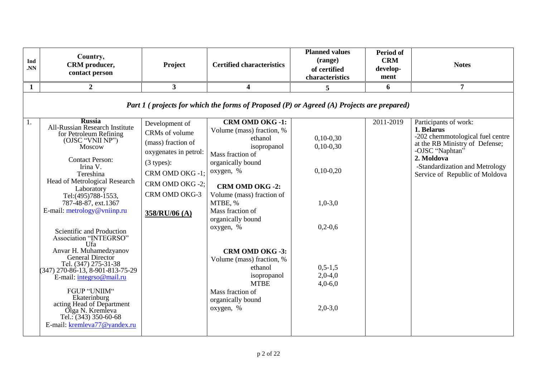| Ind<br>.NN | Country,<br>CRM producer,<br>contact person                                                                                                                                                                                                                                                                                                  | Project                                                                                                                                                                 | <b>Certified characteristics</b>                                                                                                                                                                                                              | <b>Planned values</b><br>(range)<br>of certified<br>characteristics | <b>Period of</b><br><b>CRM</b><br>develop-<br>ment | <b>Notes</b>                                                                                                                                                                                                   |
|------------|----------------------------------------------------------------------------------------------------------------------------------------------------------------------------------------------------------------------------------------------------------------------------------------------------------------------------------------------|-------------------------------------------------------------------------------------------------------------------------------------------------------------------------|-----------------------------------------------------------------------------------------------------------------------------------------------------------------------------------------------------------------------------------------------|---------------------------------------------------------------------|----------------------------------------------------|----------------------------------------------------------------------------------------------------------------------------------------------------------------------------------------------------------------|
| 1          | $\overline{2}$                                                                                                                                                                                                                                                                                                                               | $\mathbf{3}$                                                                                                                                                            | $\overline{\mathbf{4}}$                                                                                                                                                                                                                       | 5                                                                   | 6                                                  | $\overline{7}$                                                                                                                                                                                                 |
|            | Part 1 (projects for which the forms of Proposed (P) or Agreed (A) Projects are prepared)                                                                                                                                                                                                                                                    |                                                                                                                                                                         |                                                                                                                                                                                                                                               |                                                                     |                                                    |                                                                                                                                                                                                                |
| 1.         | <b>Russia</b><br>All-Russian Research Institute<br>for Petroleum Refining<br>(OJSC "VNII NP")<br>Moscow<br><b>Contact Person:</b><br>Irina V.<br>Tereshina<br>Head of Metrological Research<br>Laboratory<br>Tel:(495)788-1553,<br>787-48-87, ext.1367<br>E-mail: metrology@vniinp.ru<br>Scientific and Production<br>Association "INTEGRSO" | Development of<br>CRMs of volume<br>(mass) fraction of<br>oxygenates in petrol:<br>$(3$ types):<br>CRM OMD OKG -1;<br>CRM OMD OKG -2;<br>CRM OMD OKG-3<br>358/RU/06 (A) | CRM OMD OKG -1:<br>Volume (mass) fraction, %<br>ethanol<br>isopropanol<br>Mass fraction of<br>organically bound<br>oxygen, %<br>CRM OMD OKG -2:<br>Volume (mass) fraction of<br>MTBE, %<br>Mass fraction of<br>organically bound<br>oxygen, % | $0,10-0,30$<br>$0,10-0,30$<br>$0,10-0,20$<br>$1,0-3,0$<br>$0,2-0,6$ | 2011-2019                                          | Participants of work:<br>1. Belarus<br>-202 chemmotological fuel centre<br>at the RB Ministry of Defense;<br>-OJSC "Naphtan"<br>2. Moldova<br>-Standardization and Metrology<br>Service of Republic of Moldova |
|            | Ufa<br>Anvar H. Muhamedzyanov<br>General Director<br>Tel. (347) 275-31-38<br>(347) 270-86-13, 8-901-813-75-29<br>E-mail: integrso@mail.ru<br>FGUP "UNIIM"<br>Ekaterinburg<br>acting Head of Department<br>Olga N. Kremleva<br>Tel.: $(343)$ 350-60-68<br>E-mail: kremleva77@yandex.ru                                                        |                                                                                                                                                                         | CRM OMD OKG -3:<br>Volume (mass) fraction, %<br>ethanol<br>isopropanol<br><b>MTBE</b><br>Mass fraction of<br>organically bound<br>oxygen, %                                                                                                   | $0, 5 - 1, 5$<br>$2,0-4,0$<br>$4,0-6,0$<br>$2,0-3,0$                |                                                    |                                                                                                                                                                                                                |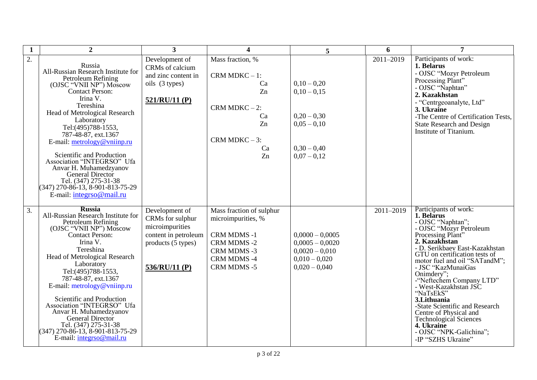| $\mathbf{1}$ | $\boldsymbol{2}$                                                                                                                                                                                                                                                                                                                                                                                                                                                                      | $\overline{3}$                                                                                                       | 4                                                                                                                         | 5                                                                                                | 6         | 7                                                                                                                                                                                                                                                                                                                                                                                                                                                                                                                |
|--------------|---------------------------------------------------------------------------------------------------------------------------------------------------------------------------------------------------------------------------------------------------------------------------------------------------------------------------------------------------------------------------------------------------------------------------------------------------------------------------------------|----------------------------------------------------------------------------------------------------------------------|---------------------------------------------------------------------------------------------------------------------------|--------------------------------------------------------------------------------------------------|-----------|------------------------------------------------------------------------------------------------------------------------------------------------------------------------------------------------------------------------------------------------------------------------------------------------------------------------------------------------------------------------------------------------------------------------------------------------------------------------------------------------------------------|
| 2.           | Russia<br>All-Russian Research Institute for<br>Petroleum Refining<br>(OJSC "VNII NP") Moscow<br>Contact Person:<br>Irina V.<br>Tereshina<br>Head of Metrological Research<br>Laboratory<br>Tel:(495)788-1553,<br>787-48-87, ext.1367<br>E-mail: metrology@vniinp.ru<br>Scientific and Production<br>Association "INTEGRSO" Ufa<br>Anvar H. Muhamedzyanov<br>General Director<br>Tel. (347) 275-31-38<br>$(347)$ 270-86-13, 8-901-813-75-29<br>E-mail: integrso@mail.ru               | Development of<br>CRMs of calcium<br>and zinc content in<br>oils (3 types)<br>521/RU/11 (P)                          | Mass fraction, %<br>CRM MDKC $-1$ :<br>Ca<br>Zn<br>CRM MDKC $-2$ :<br>Ca<br>Zn<br>CRM MDKC $-3$ :<br>Ca<br>Zn             | $0,10-0,20$<br>$0,10-0,15$<br>$0,20-0,30$<br>$0.05 - 0.10$<br>$0,30-0,40$<br>$0.07 - 0.12$       | 2011-2019 | Participants of work:<br>1. Belarus<br>- OJSC "Mozyr Petroleum<br>Processing Plant"<br>- OJSC "Naphtan"<br>2. Kazakhstan<br>- "Centrgeoanalyte, Ltd"<br>3. Ukraine<br>-The Centre of Certification Tests.<br><b>State Research and Design</b><br>Institute of Titanium.                                                                                                                                                                                                                                          |
| 3.           | <b>Russia</b><br>All-Russian Research Institute for<br>Petroleum Refining<br>(OJSC "VNII NP") Moscow<br><b>Contact Person:</b><br>Irina V.<br>Tereshina<br>Head of Metrological Research<br>Laboratory<br>Tel: (495) 788-1553,<br>787-48-87, ext.1367<br>E-mail: metrology@vniinp.ru<br>Scientific and Production<br>Association "INTEGRSO" Ufa<br>Anvar H. Muhamedzyanov<br>General Director<br>Tel. (347) 275-31-38<br>(347) 270-86-13, 8-901-813-75-29<br>E-mail: integrso@mail.ru | Development of<br>CRMs for sulphur<br>microimpurities<br>content in petroleum<br>products (5 types)<br>536/RU/11 (P) | Mass fraction of sulphur<br>microimpurities, %<br>CRM MDMS -1<br>CRM MDMS -2<br>CRM MDMS -3<br>CRM MDMS -4<br>CRM MDMS -5 | $0,0000 - 0,0005$<br>$0,0005 - 0,0020$<br>$0,0020 - 0,010$<br>$0,010 - 0,020$<br>$0.020 - 0.040$ | 2011-2019 | Participants of work:<br>1. Belarus<br>- OJSC "Naphtan";<br>- OJSC "Mozyr Petroleum<br>Processing Plant"<br>2. Kazakhstan<br>- D. Serikbaev East-Kazakhstan<br>GTU on certification tests of<br>motor fuel and oil "SAT and M";<br>- JSC "KazMunaiGas<br>Onimdery";<br>-"Neftechem Company LTD"<br>- West-Kazakhstan JSC<br>"NaTsEkS"<br>3.Lithuania<br>-State Scientific and Research<br>Centre of Physical and<br><b>Technological Sciences</b><br>4. Ukraine<br>- OJSC "NPK-Galichina";<br>-IP "SZHS Ukraine" |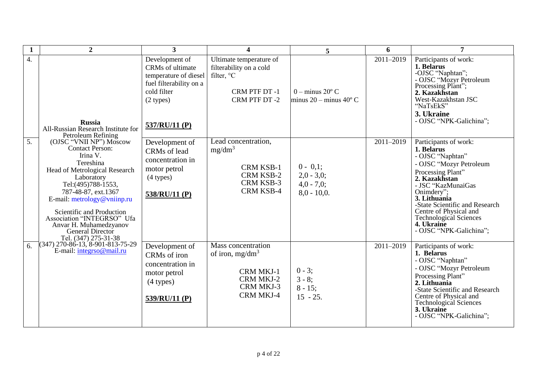| $\mathbf{1}$     | $\overline{2}$                                                                                                                                                                                                                                                                                                                  | 3                                                                                                                                     | $\boldsymbol{4}$                                                                                                 | 5                                                                    | 6         | $\overline{7}$                                                                                                                                                                                                                                                                                                     |
|------------------|---------------------------------------------------------------------------------------------------------------------------------------------------------------------------------------------------------------------------------------------------------------------------------------------------------------------------------|---------------------------------------------------------------------------------------------------------------------------------------|------------------------------------------------------------------------------------------------------------------|----------------------------------------------------------------------|-----------|--------------------------------------------------------------------------------------------------------------------------------------------------------------------------------------------------------------------------------------------------------------------------------------------------------------------|
| $\overline{4}$ . | <b>Russia</b><br>All-Russian Research Institute for<br>Petroleum Refining                                                                                                                                                                                                                                                       | Development of<br>CRMs of ultimate<br>temperature of diesel<br>fuel filterability on a<br>cold filter<br>$(2$ types)<br>537/RU/11 (P) | Ultimate temperature of<br>filterability on a cold<br>filter, °C<br>CRM PTF DT-1<br>CRM PTF DT-2                 | $0 - \text{minus } 20^{\circ}$ C<br>minus 20 – minus 40 $^{\circ}$ C | 2011-2019 | Participants of work:<br>1. Belarus<br>-OJSC "Naphtan";<br>- OJSC "Mozyr Petroleum<br>Processing Plant";<br>2. Kazakhstan<br>West-Kazakhstan JSC<br>"NaTsEkS"<br>3. Ukraine<br>- OJSC "NPK-Galichina";                                                                                                             |
| 5.               | (OJSC "VNII NP") Moscow<br>Contact Person:<br>Irina V.<br>Tereshina<br>Head of Metrological Research<br>Laboratory<br>Tel:(495)788-1553,<br>787-48-87, ext.1367<br>E-mail: metrology@vniinp.ru<br>Scientific and Production<br>Association "INTEGRSO" Ufa<br>Anvar H. Muhamedzyanov<br>General Director<br>Tel. (347) 275-31-38 | Development of<br>CRMs of lead<br>concentration in<br>motor petrol<br>$(4$ types)<br>538/RU/11 (P)                                    | Lead concentration,<br>$mg/dm^3$<br><b>CRM KSB-1</b><br><b>CRM KSB-2</b><br><b>CRM KSB-3</b><br><b>CRM KSB-4</b> | $0 - 0.1$ ;<br>$2,0 - 3,0;$<br>$4,0 - 7,0;$<br>$8.0 - 10.0.$         | 2011-2019 | Participants of work:<br>1. Belarus<br>- OJSC "Naphtan"<br>- OJSC "Mozyr Petroleum<br>Processing Plant"<br>2. Kazakhstan<br>- JSC "KazMunaiGas<br>Onimdery";<br>3. Lithuania<br>-State Scientific and Research<br>Centre of Physical and<br><b>Technological Sciences</b><br>4. Ukraine<br>- OJSC "NPK-Galichina"; |
| 6.               | (347) 270-86-13, 8-901-813-75-29<br>E-mail: integrso@mail.ru                                                                                                                                                                                                                                                                    | Development of<br>CRMs of iron<br>concentration in<br>motor petrol<br>$(4$ types)<br>539/RU/11 (P)                                    | Mass concentration<br>of iron, $mg/dm3$<br>CRM MKJ-1<br><b>CRM MKJ-2</b><br>CRM MKJ-3<br><b>CRM MKJ-4</b>        | $0 - 3$ ;<br>$3 - 8;$<br>$8 - 15$ ;<br>$15 - 25$ .                   | 2011-2019 | Participants of work:<br>1. Belarus<br>- OJSC "Naphtan"<br>- OJSC "Mozyr Petroleum<br>Processing Plant"<br>2. Lithuania<br>-State Scientific and Research<br>Centre of Physical and<br><b>Technological Sciences</b><br>3. Ukraine<br>- OJSC "NPK-Galichina";                                                      |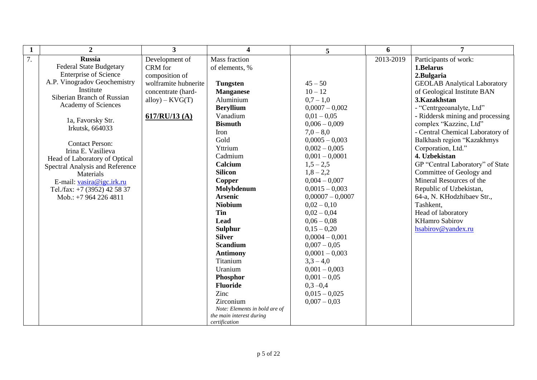| $\mathbf{1}$ | $\overline{2}$                       | $\overline{3}$            | $\overline{\mathbf{4}}$                                                                 | 5                  | 6         | 7                                   |
|--------------|--------------------------------------|---------------------------|-----------------------------------------------------------------------------------------|--------------------|-----------|-------------------------------------|
| 7.           | <b>Russia</b>                        | Development of            | <b>Mass fraction</b>                                                                    |                    | 2013-2019 | Participants of work:               |
|              | <b>Federal State Budgetary</b>       | CRM for                   | of elements, %                                                                          |                    |           | 1.Belarus                           |
|              | <b>Enterprise of Science</b>         | composition of            |                                                                                         |                    |           | 2.Bulgaria                          |
|              | A.P. Vinogradov Geochemistry         | wolframite hubnerite      | <b>Tungsten</b>                                                                         | $45 - 50$          |           | <b>GEOLAB Analytical Laboratory</b> |
|              | Institute                            | concentrate (hard-        | <b>Manganese</b>                                                                        | $10 - 12$          |           | of Geological Institute BAN         |
|              | Siberian Branch of Russian           | $\text{alloy}$ ) – KVG(T) | Aluminium                                                                               | $0.7 - 1.0$        |           | 3.Kazakhstan                        |
|              | <b>Academy of Sciences</b>           |                           | <b>Beryllium</b>                                                                        | $0,0007 - 0,002$   |           | - "Centrgeoanalyte, Ltd"            |
|              |                                      | 617/RU/13(A)              | Vanadium                                                                                | $0,01 - 0,05$      |           | - Riddersk mining and processing    |
|              | 1a, Favorsky Str.<br>Irkutsk, 664033 |                           | <b>Bismuth</b>                                                                          | $0,006 - 0,009$    |           | complex "Kazzinc, Ltd"              |
|              |                                      |                           | Iron                                                                                    | $7,0 - 8,0$        |           | - Central Chemical Laboratory of    |
|              | <b>Contact Person:</b>               |                           | Gold                                                                                    | $0,0005 - 0,003$   |           | Balkhash region "Kazakhmys          |
|              | Irina E. Vasilieva                   |                           | Yttrium                                                                                 | $0,002 - 0,005$    |           | Corporation, Ltd."                  |
|              | Head of Laboratory of Optical        |                           | Cadmium                                                                                 | $0,001 - 0,0001$   |           | 4. Uzbekistan                       |
|              | Spectral Analysis and Reference      |                           | Calcium                                                                                 | $1,5 - 2,5$        |           | GP "Central Laboratory" of State    |
|              | Materials                            |                           | <b>Silicon</b>                                                                          | $1,8-2,2$          |           | Committee of Geology and            |
|              | E-mail: vasira@igc.irk.ru            |                           | Copper                                                                                  | $0,004 - 0,007$    |           | Mineral Resources of the            |
|              | Tel./fax: +7 (3952) 42 58 37         |                           | Molybdenum                                                                              | $0,0015 - 0,003$   |           | Republic of Uzbekistan,             |
|              | Mob.: +7 964 226 4811                |                           | <b>Arsenic</b>                                                                          | $0,00007 - 0,0007$ |           | 64-a, N. KHodzhibaev Str.,          |
|              |                                      |                           | <b>Niobium</b>                                                                          | $0,02 - 0,10$      |           | Tashkent,                           |
|              |                                      |                           | <b>Tin</b>                                                                              | $0,02 - 0,04$      |           | Head of laboratory                  |
|              |                                      |                           | <b>Lead</b>                                                                             | $0.06 - 0.08$      |           | <b>KHamro Sabirov</b>               |
|              |                                      |                           | <b>Sulphur</b>                                                                          | $0,15-0,20$        |           | hsabirov@yandex.ru                  |
|              |                                      |                           | <b>Silver</b>                                                                           | $0,0004 - 0,001$   |           |                                     |
|              |                                      |                           | <b>Scandium</b>                                                                         | $0,007 - 0,05$     |           |                                     |
|              |                                      |                           | <b>Antimony</b>                                                                         | $0,0001 - 0,003$   |           |                                     |
|              |                                      |                           | Titanium                                                                                | $3,3 - 4,0$        |           |                                     |
|              |                                      |                           | Uranium                                                                                 | $0,001 - 0,003$    |           |                                     |
|              |                                      |                           | Phosphor                                                                                | $0,001 - 0,05$     |           |                                     |
|              |                                      |                           | <b>Fluoride</b>                                                                         | $0,3 - 0,4$        |           |                                     |
|              |                                      |                           | Zinc                                                                                    | $0,015 - 0,025$    |           |                                     |
|              |                                      |                           |                                                                                         |                    |           |                                     |
|              |                                      |                           |                                                                                         |                    |           |                                     |
|              |                                      |                           |                                                                                         |                    |           |                                     |
|              |                                      |                           | Zirconium<br>Note: Elements in bold are of<br>the main interest during<br>certification | $0,007 - 0,03$     |           |                                     |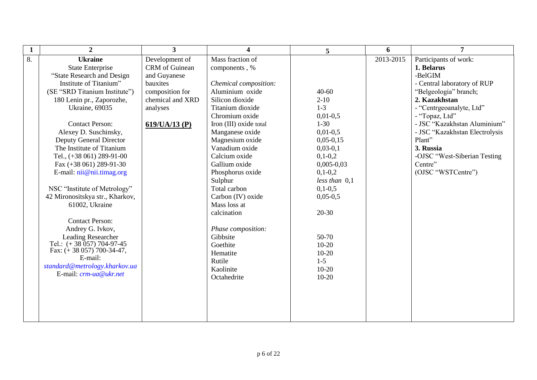| $\mathbf 1$ | $\boldsymbol{2}$                                           | $\overline{3}$   | 4                      | 5             | 6         | 7                              |
|-------------|------------------------------------------------------------|------------------|------------------------|---------------|-----------|--------------------------------|
| 8.          | <b>Ukraine</b>                                             | Development of   | Mass fraction of       |               | 2013-2015 | Participants of work:          |
|             | <b>State Enterprise</b>                                    | CRM of Guinean   | components, %          |               |           | 1. Belarus                     |
|             | "State Research and Design                                 | and Guyanese     |                        |               |           | -BelGIM                        |
|             | Institute of Titanium"                                     | bauxites         | Chemical composition:  |               |           | - Central laboratory of RUP    |
|             | (SE "SRD Titanium Institute")                              | composition for  | Aluminium oxide        | $40 - 60$     |           | "Belgeologia" branch;          |
|             | 180 Lenin pr., Zaporozhe,                                  | chemical and XRD | Silicon dioxide        | $2 - 10$      |           | 2. Kazakhstan                  |
|             | Ukraine, 69035                                             | analyses         | Titanium dioxide       | $1-3$         |           | - "Centrgeoanalyte, Ltd"       |
|             |                                                            |                  | Chromium oxide         | $0,01-0,5$    |           | - "Topaz, Ltd"                 |
|             | <b>Contact Person:</b>                                     | 619/UA/13(P)     | Iron (III) oxide total | $1 - 30$      |           | - JSC "Kazakhstan Aluminium"   |
|             | Alexey D. Suschinsky,                                      |                  | Manganese oxide        | $0,01-0,5$    |           | - JSC "Kazakhstan Electrolysis |
|             | Deputy General Director                                    |                  | Magnesium oxide        | $0,05-0,15$   |           | Plant"                         |
|             | The Institute of Titanium                                  |                  | Vanadium oxide         | $0,03-0,1$    |           | 3. Russia                      |
|             | Tel., (+38 061) 289-91-00                                  |                  | Calcium oxide          | $0,1-0,2$     |           | -OJSC "West-Siberian Testing   |
|             | Fax $(+38061)$ 289-91-30                                   |                  | Gallium oxide          | $0,005-0,03$  |           | Centre"                        |
|             | E-mail: nii@nii.timag.org                                  |                  | Phosphorus oxide       | $0,1-0,2$     |           | (OJSC "WSTCentre")             |
|             |                                                            |                  | Sulphur                | less than 0,1 |           |                                |
|             | NSC "Institute of Metrology"                               |                  | Total carbon           | $0,1-0,5$     |           |                                |
|             | 42 Mironositskya str., Kharkov,                            |                  | Carbon (IV) oxide      | $0,05-0,5$    |           |                                |
|             | 61002, Ukraine                                             |                  | Mass loss at           |               |           |                                |
|             |                                                            |                  | calcination            | $20 - 30$     |           |                                |
|             | <b>Contact Person:</b>                                     |                  |                        |               |           |                                |
|             | Andrey G. Ivkov,                                           |                  | Phase composition:     |               |           |                                |
|             | <b>Leading Researcher</b><br>Tel.: $(+38\,057)\,704-97-45$ |                  | Gibbsite               | 50-70         |           |                                |
|             | Fax: $(+ 38 057) 700-34-47$ ,                              |                  | Goethite               | $10 - 20$     |           |                                |
|             | E-mail:                                                    |                  | Hematite               | $10-20$       |           |                                |
|             | standard@metrology.kharkov.ua                              |                  | Rutile                 | $1-5$         |           |                                |
|             | E-mail: crm-ua@ukr.net                                     |                  | Kaolinite              | $10 - 20$     |           |                                |
|             |                                                            |                  | Octahedrite            | $10-20$       |           |                                |
|             |                                                            |                  |                        |               |           |                                |
|             |                                                            |                  |                        |               |           |                                |
|             |                                                            |                  |                        |               |           |                                |
|             |                                                            |                  |                        |               |           |                                |
|             |                                                            |                  |                        |               |           |                                |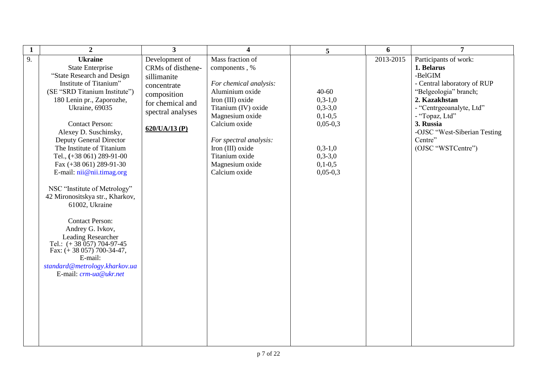| $\mathbf{1}$ | $\overline{2}$                                              | $\overline{\mathbf{3}}$ |                                    | 5             | 6         | $\overline{7}$                |
|--------------|-------------------------------------------------------------|-------------------------|------------------------------------|---------------|-----------|-------------------------------|
| 9.           | <b>Ukraine</b>                                              | Development of          | Mass fraction of                   |               | 2013-2015 | Participants of work:         |
|              | State Enterprise                                            | CRMs of disthene-       | components, %                      |               |           | 1. Belarus                    |
|              | "State Research and Design                                  | sillimanite             |                                    |               |           | -BelGIM                       |
|              | Institute of Titanium"                                      | concentrate             | For chemical analysis:             |               |           | - Central laboratory of RUP   |
|              | (SE "SRD Titanium Institute")                               | composition             | Aluminium oxide                    | $40 - 60$     |           | "Belgeologia" branch;         |
|              | 180 Lenin pr., Zaporozhe,                                   | for chemical and        | Iron (III) oxide                   | $0, 3 - 1, 0$ |           | 2. Kazakhstan                 |
|              | Ukraine, 69035                                              | spectral analyses       | Titanium (IV) oxide                | $0, 3 - 3, 0$ |           | - "Centrgeoanalyte, Ltd"      |
|              |                                                             |                         | Magnesium oxide                    | $0,1-0,5$     |           | - "Topaz, Ltd"                |
|              | <b>Contact Person:</b>                                      | 620/UA/13(P)            | Calcium oxide                      | $0,05-0,3$    |           | 3. Russia                     |
|              | Alexey D. Suschinsky,                                       |                         |                                    |               |           | -OJSC "West-Siberian Testing  |
|              | <b>Deputy General Director</b><br>The Institute of Titanium |                         | For spectral analysis:             | $0, 3 - 1, 0$ |           | Centre"<br>(OJSC "WSTCentre") |
|              | Tel., (+38 061) 289-91-00                                   |                         | Iron (III) oxide<br>Titanium oxide | $0,3-3,0$     |           |                               |
|              | Fax (+38 061) 289-91-30                                     |                         | Magnesium oxide                    | $0,1-0,5$     |           |                               |
|              | E-mail: $ni@ni.timeq.org$                                   |                         | Calcium oxide                      | $0,05-0,3$    |           |                               |
|              |                                                             |                         |                                    |               |           |                               |
|              | NSC "Institute of Metrology"                                |                         |                                    |               |           |                               |
|              | 42 Mironositskya str., Kharkov,                             |                         |                                    |               |           |                               |
|              | 61002, Ukraine                                              |                         |                                    |               |           |                               |
|              |                                                             |                         |                                    |               |           |                               |
|              | <b>Contact Person:</b>                                      |                         |                                    |               |           |                               |
|              | Andrey G. Ivkov,                                            |                         |                                    |               |           |                               |
|              | Leading Researcher                                          |                         |                                    |               |           |                               |
|              | Tel.: $(+38\,057)\,704-97-45$                               |                         |                                    |               |           |                               |
|              | Fax: $(\frac{1}{2} 38 057)^7 700 - 34 - 47$ ,<br>E-mail:    |                         |                                    |               |           |                               |
|              | standard@metrology.kharkov.ua                               |                         |                                    |               |           |                               |
|              | E-mail: crm-ua@ukr.net                                      |                         |                                    |               |           |                               |
|              |                                                             |                         |                                    |               |           |                               |
|              |                                                             |                         |                                    |               |           |                               |
|              |                                                             |                         |                                    |               |           |                               |
|              |                                                             |                         |                                    |               |           |                               |
|              |                                                             |                         |                                    |               |           |                               |
|              |                                                             |                         |                                    |               |           |                               |
|              |                                                             |                         |                                    |               |           |                               |
|              |                                                             |                         |                                    |               |           |                               |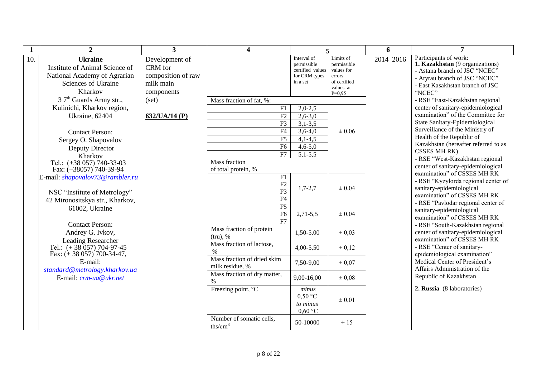| $\mathbf{1}$ | $\overline{2}$                                                                                                     | $\overline{3}$                                                             | $\overline{\mathbf{4}}$                        | 5                                                                           |                                                                                           | 6         | 7                                                                                                                                                                       |
|--------------|--------------------------------------------------------------------------------------------------------------------|----------------------------------------------------------------------------|------------------------------------------------|-----------------------------------------------------------------------------|-------------------------------------------------------------------------------------------|-----------|-------------------------------------------------------------------------------------------------------------------------------------------------------------------------|
| 10.          | <b>Ukraine</b><br>Institute of Animal Science of<br>National Academy of Agrarian<br>Sciences of Ukraine<br>Kharkov | Development of<br>CRM for<br>composition of raw<br>milk main<br>components |                                                | Interval of<br>permissible<br>certified values<br>for CRM types<br>in a set | Limits of<br>permissible<br>values for<br>errors<br>of certified<br>values at<br>$P=0.95$ | 2014-2016 | Participants of work:<br>1. Kazakhstan (9 organizations)<br>- Astana branch of JSC "NCEC"<br>- Atyrau branch of JSC "NCEC"<br>- East Kasakhstan branch of JSC<br>"NCEC" |
|              | $3.7th$ Guards Army str.,                                                                                          | (set)                                                                      | Mass fraction of fat, $%$ :                    |                                                                             |                                                                                           |           | - RSE "East-Kazakhstan regional                                                                                                                                         |
|              | Kulinichi, Kharkov region,                                                                                         |                                                                            | F1                                             | $2,0-2,5$                                                                   |                                                                                           |           | center of sanitary-epidemiological                                                                                                                                      |
|              | Ukraine, 62404                                                                                                     | 632/UA/14 (P)                                                              | F2                                             | $2,6-3,0$                                                                   |                                                                                           |           | examination" of the Committee for                                                                                                                                       |
|              |                                                                                                                    |                                                                            | F <sub>3</sub>                                 | $3,1-3,5$                                                                   |                                                                                           |           | State Sanitary-Epidemiological<br>Surveillance of the Ministry of                                                                                                       |
|              | <b>Contact Person:</b>                                                                                             |                                                                            | F4                                             | $3,6-4,0$                                                                   | $\pm 0.06$                                                                                |           | Health of the Republic of                                                                                                                                               |
|              | Sergey O. Shapovalov                                                                                               |                                                                            | F5                                             | $4,1-4,5$                                                                   |                                                                                           |           | Kazakhstan (hereafter referred to as                                                                                                                                    |
|              | Deputy Director                                                                                                    |                                                                            | F <sub>6</sub>                                 | $4,6 - 5,0$                                                                 |                                                                                           |           | CSSES MH RK)                                                                                                                                                            |
|              | Kharkov                                                                                                            |                                                                            | F7<br>Mass fraction                            | $5,1-5,5$                                                                   |                                                                                           |           | - RSE "West-Kazakhstan regional                                                                                                                                         |
|              | Tel.: (+38 057) 740-33-03<br>Fax: (+38057) 740-39-94                                                               |                                                                            | of total protein, %                            |                                                                             |                                                                                           |           | center of sanitary-epidemiological                                                                                                                                      |
|              | E-mail: shapovalov73@rambler.ru                                                                                    |                                                                            | F1                                             |                                                                             |                                                                                           |           | examination" of CSSES MH RK                                                                                                                                             |
|              | NSC "Institute of Metrology"<br>42 Mironositskya str., Kharkov,                                                    |                                                                            | F2<br>F <sub>3</sub><br>F4                     | $1,7-2,7$                                                                   | $\pm 0.04$                                                                                |           | - RSE "Kyzylorda regional center of<br>sanitary-epidemiological<br>examination" of CSSES MH RK                                                                          |
|              | 61002, Ukraine                                                                                                     |                                                                            | F5<br>F <sub>6</sub><br>F7                     | $2,71-5,5$                                                                  | $\pm 0.04$                                                                                |           | - RSE "Pavlodar regional center of<br>sanitary-epidemiological<br>examination" of CSSES MH RK                                                                           |
|              | <b>Contact Person:</b><br>Andrey G. Ivkov,                                                                         |                                                                            | Mass fraction of protein<br>(true), %          | 1,50-5,00                                                                   | $\pm 0.03$                                                                                |           | - RSE "South-Kazakhstan regional<br>center of sanitary-epidemiological<br>examination" of CSSES MH RK                                                                   |
|              | Leading Researcher<br>Tel.: $(+38\,057)\,704-97-45$<br>Fax: $(+ 38 057) 700-34-47$ ,                               |                                                                            | Mass fraction of lactose,<br>$\frac{0}{0}$     | $4,00-5,50$                                                                 | ± 0,12                                                                                    |           | - RSE "Center of sanitary-<br>epidemiological examination"                                                                                                              |
|              | E-mail:<br>standard@metrology.kharkov.ua                                                                           |                                                                            | Mass fraction of dried skim<br>milk residue, % | 7,50-9,00                                                                   | $\pm 0.07$                                                                                |           | Medical Center of President's<br>Affairs Administration of the                                                                                                          |
|              | E-mail: $crm$ -ua@ukr.net                                                                                          |                                                                            | Mass fraction of dry matter,<br>$\%$           | 9,00-16,00                                                                  | $\pm 0.08$                                                                                |           | Republic of Kazakhstan                                                                                                                                                  |
|              |                                                                                                                    |                                                                            | Freezing point, °C                             | minus<br>$0,50$ °C<br>to minus<br>$0,60$ °C                                 | $\pm 0.01$                                                                                |           | 2. Russia (8 laboratories)                                                                                                                                              |
|              |                                                                                                                    |                                                                            | Number of somatic cells,<br>ths/ $cm3$         | 50-10000                                                                    | $\pm$ 15                                                                                  |           |                                                                                                                                                                         |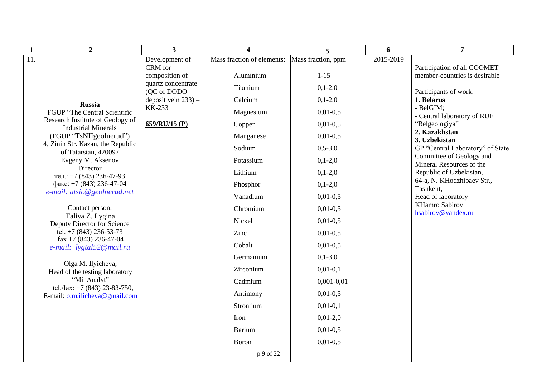| $\mathbf{1}$ | $\overline{2}$                                               | $\overline{\mathbf{3}}$                                     | 4                          | 5                  | 6         | $\overline{7}$                                               |
|--------------|--------------------------------------------------------------|-------------------------------------------------------------|----------------------------|--------------------|-----------|--------------------------------------------------------------|
| 11.          |                                                              | Development of                                              | Mass fraction of elements: | Mass fraction, ppm | 2015-2019 |                                                              |
|              |                                                              | CRM for<br>composition of                                   | Aluminium                  | $1-15$             |           | Participation of all COOMET<br>member-countries is desirable |
|              |                                                              | quartz concentrate<br>(QC of DODO<br>deposit vein $233$ ) – | Titanium                   | $0,1-2,0$          |           |                                                              |
|              |                                                              |                                                             | Calcium                    | $0,1-2,0$          |           | Participants of work:<br>1. Belarus                          |
|              | <b>Russia</b><br>FGUP "The Central Scientific                | <b>KK-233</b>                                               | Magnesium                  | $0,01-0,5$         |           | - BelGIM;                                                    |
|              | Research Institute of Geology of                             |                                                             |                            |                    |           | - Central laboratory of RUE                                  |
|              | <b>Industrial Minerals</b>                                   | 659/RU/15 (P)                                               | Copper                     | $0,01-0,5$         |           | "Belgeologiya"<br>2. Kazakhstan                              |
|              | (FGUP "TsNIIgeolnerud")<br>4, Zinin Str. Kazan, the Republic |                                                             | Manganese                  | $0,01-0,5$         |           | 3. Uzbekistan                                                |
|              | of Tatarstan, 420097                                         |                                                             | Sodium                     | $0,5-3,0$          |           | GP "Central Laboratory" of State<br>Committee of Geology and |
|              | Evgeny M. Aksenov<br>Director                                |                                                             | Potassium                  | $0,1-2,0$          |           | Mineral Resources of the                                     |
|              | тел.: $+7$ (843) 236-47-93                                   |                                                             | Lithium                    | $0,1-2,0$          |           | Republic of Uzbekistan,                                      |
|              | факс: $+7$ (843) 236-47-04                                   |                                                             | Phosphor                   | $0,1-2,0$          |           | 64-a, N. KHodzhibaev Str.,<br>Tashkent,                      |
|              |                                                              | e-mail: atsic@geolnerud.net                                 | Vanadium                   | $0,01-0,5$         |           | Head of laboratory                                           |
|              | Contact person:                                              |                                                             | Chromium                   | $0,01-0,5$         |           | <b>KHamro Sabirov</b><br>hsabirov@yandex.ru                  |
|              | Taliya Z. Lygina<br>Deputy Director for Science              |                                                             | Nickel                     | $0,01-0,5$         |           |                                                              |
|              | tel. +7 (843) 236-53-73                                      |                                                             | Zinc                       | $0,01-0,5$         |           |                                                              |
|              | fax +7 (843) 236-47-04<br>e-mail: lygtal52@mail.ru           |                                                             | Cobalt                     | $0,01-0,5$         |           |                                                              |
|              |                                                              |                                                             | Germanium                  | $0,1-3,0$          |           |                                                              |
|              | Olga M. Ilyicheva,<br>Head of the testing laboratory         |                                                             | Zirconium                  | $0,01-0,1$         |           |                                                              |
|              | "MinAnalyt"                                                  |                                                             | Cadmium                    | $0,001-0,01$       |           |                                                              |
|              | tel./fax: $+7$ (843) 23-83-750,                              |                                                             | Antimony                   | $0,01-0,5$         |           |                                                              |
|              | E-mail: o.m.ilicheva@gmail.com                               |                                                             | Strontium                  | $0,01-0,1$         |           |                                                              |
|              |                                                              |                                                             |                            |                    |           |                                                              |
|              |                                                              |                                                             | Iron                       | $0,01-2,0$         |           |                                                              |
|              |                                                              |                                                             | Barium                     | $0,01-0,5$         |           |                                                              |
|              |                                                              |                                                             | Boron                      | $0,01-0,5$         |           |                                                              |
|              |                                                              |                                                             | p 9 of 22                  |                    |           |                                                              |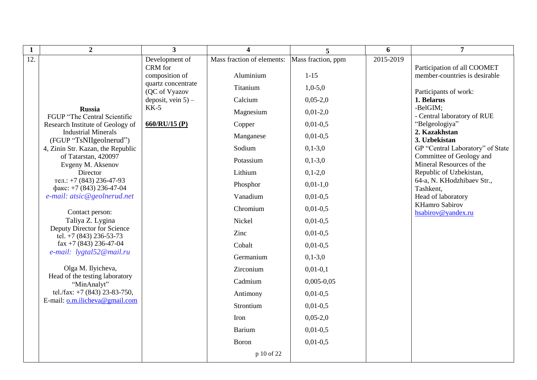| $\mathbf{1}$      | $\overline{2}$                                                           | 3                         | 4                          | 5                  | 6                                   | $\overline{7}$                                                    |
|-------------------|--------------------------------------------------------------------------|---------------------------|----------------------------|--------------------|-------------------------------------|-------------------------------------------------------------------|
| $\overline{12}$ . |                                                                          | Development of            | Mass fraction of elements: | Mass fraction, ppm | 2015-2019                           |                                                                   |
|                   |                                                                          | CRM for<br>composition of | Aluminium                  | $1 - 15$           |                                     | Participation of all COOMET<br>member-countries is desirable      |
|                   |                                                                          | quartz concentrate        | Titanium                   | $1,0-5,0$          |                                     |                                                                   |
|                   | (QC of Vyazov<br>deposit, vein $5$ ) –                                   | Calcium                   | $0,05-2,0$                 |                    | Participants of work:<br>1. Belarus |                                                                   |
|                   | <b>Russia</b>                                                            | $KK-5$                    |                            |                    |                                     | -BelGIM;                                                          |
|                   | FGUP "The Central Scientific                                             |                           | Magnesium                  | $0,01-2,0$         |                                     | - Central laboratory of RUE                                       |
|                   | Research Institute of Geology of<br><b>Industrial Minerals</b>           | 660/RU/15 (P)             | Copper                     | $0,01-0,5$         |                                     | "Belgeologiya"<br>2. Kazakhstan                                   |
|                   | (FGUP "TsNIIgeolnerud")                                                  |                           | Manganese                  | $0,01-0,5$         |                                     | 3. Uzbekistan                                                     |
|                   | 4, Zinin Str. Kazan, the Republic                                        |                           | Sodium                     | $0,1-3,0$          |                                     | GP "Central Laboratory" of State                                  |
|                   | of Tatarstan, 420097<br>Evgeny M. Aksenov                                |                           | Potassium                  | $0,1-3,0$          |                                     | Committee of Geology and<br>Mineral Resources of the              |
|                   | Director                                                                 |                           | Lithium                    | $0,1-2,0$          |                                     | Republic of Uzbekistan,                                           |
|                   | тел.: +7 (843) 236-47-93<br>факс: +7 (843) 236-47-04                     |                           | Phosphor                   | $0,01-1,0$         |                                     | 64-a, N. KHodzhibaev Str.,<br>Tashkent,                           |
|                   | e-mail: atsic@geolnerud.net                                              |                           | Vanadium                   | $0,01-0,5$         |                                     | Head of laboratory<br><b>KHamro Sabirov</b><br>hsabirov@yandex.ru |
|                   |                                                                          |                           | Chromium                   | $0,01-0,5$         |                                     |                                                                   |
|                   | Contact person:<br>Taliya Z. Lygina                                      |                           | Nickel                     | $0,01-0,5$         |                                     |                                                                   |
|                   | Deputy Director for Science                                              |                           | Zinc                       | $0,01-0,5$         |                                     |                                                                   |
|                   | tel. +7 (843) 236-53-73<br>fax +7 (843) 236-47-04                        |                           | Cobalt                     | $0,01-0,5$         |                                     |                                                                   |
|                   | e-mail: lygtal52@mail.ru                                                 |                           | Germanium                  | $0,1-3,0$          |                                     |                                                                   |
|                   | Olga M. Ilyicheva,                                                       |                           |                            |                    |                                     |                                                                   |
|                   | Head of the testing laboratory                                           |                           | Zirconium                  | $0,01-0,1$         |                                     |                                                                   |
|                   | "MinAnalyt"                                                              |                           | Cadmium                    | $0,005 - 0,05$     |                                     |                                                                   |
|                   | tel./fax: $+7$ (843) 23-83-750,<br>E-mail: <u>o.m.ilicheva@gmail.com</u> |                           | Antimony                   | $0,01-0,5$         |                                     |                                                                   |
|                   |                                                                          |                           | Strontium                  | $0,01-0,5$         |                                     |                                                                   |
|                   |                                                                          |                           | Iron                       | $0,05-2,0$         |                                     |                                                                   |
|                   |                                                                          |                           | <b>Barium</b>              | $0,01-0,5$         |                                     |                                                                   |
|                   |                                                                          |                           | Boron                      | $0,01-0,5$         |                                     |                                                                   |
|                   |                                                                          |                           | p 10 of 22                 |                    |                                     |                                                                   |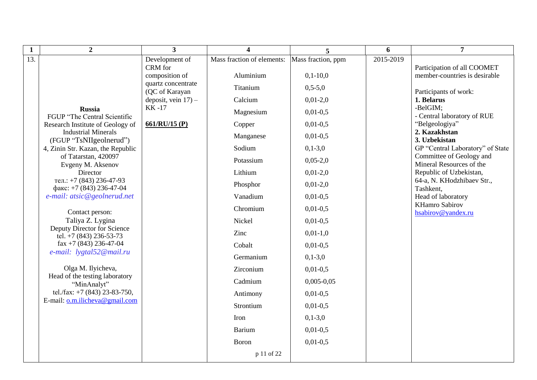| $\mathbf{1}$      | $\overline{2}$                                                           | 3                         | 4                          | 5                  | 6                                   | $\overline{7}$                                                    |
|-------------------|--------------------------------------------------------------------------|---------------------------|----------------------------|--------------------|-------------------------------------|-------------------------------------------------------------------|
| $\overline{13}$ . |                                                                          | Development of            | Mass fraction of elements: | Mass fraction, ppm | 2015-2019                           |                                                                   |
|                   |                                                                          | CRM for<br>composition of | Aluminium                  | $0,1-10,0$         |                                     | Participation of all COOMET<br>member-countries is desirable      |
|                   |                                                                          | quartz concentrate        | Titanium                   | $0,5-5,0$          |                                     |                                                                   |
|                   | (QC of Karayan<br>deposit, vein $17$ ) -                                 | Calcium                   | $0,01-2,0$                 |                    | Participants of work:<br>1. Belarus |                                                                   |
|                   | <b>Russia</b>                                                            | <b>KK-17</b>              |                            |                    |                                     | -BelGIM;                                                          |
|                   | FGUP "The Central Scientific                                             | Magnesium                 | $0,01-0,5$                 |                    | - Central laboratory of RUE         |                                                                   |
|                   | Research Institute of Geology of<br><b>Industrial Minerals</b>           | 661/RU/15 (P)             | Copper                     | $0,01-0,5$         |                                     | "Belgeologiya"<br>2. Kazakhstan                                   |
|                   | (FGUP "TsNIIgeolnerud")                                                  |                           | Manganese                  | $0,01-0,5$         |                                     | 3. Uzbekistan                                                     |
|                   | 4, Zinin Str. Kazan, the Republic                                        |                           | Sodium                     | $0,1-3,0$          |                                     | GP "Central Laboratory" of State                                  |
|                   | of Tatarstan, 420097<br>Evgeny M. Aksenov                                |                           | Potassium                  | $0,05-2,0$         |                                     | Committee of Geology and<br>Mineral Resources of the              |
|                   | Director                                                                 |                           | Lithium                    | $0,01-2,0$         |                                     | Republic of Uzbekistan,                                           |
|                   | тел.: +7 (843) 236-47-93<br>факс: +7 (843) 236-47-04                     |                           | Phosphor                   | $0,01-2,0$         |                                     | 64-a, N. KHodzhibaev Str.,<br>Tashkent,                           |
|                   | e-mail: atsic@geolnerud.net                                              |                           | Vanadium                   | $0,01-0,5$         |                                     | Head of laboratory<br><b>KHamro Sabirov</b><br>hsabirov@yandex.ru |
|                   | Contact person:                                                          |                           | Chromium                   | $0,01-0,5$         |                                     |                                                                   |
|                   | Taliya Z. Lygina                                                         |                           | Nickel                     | $0,01-0,5$         |                                     |                                                                   |
|                   | Deputy Director for Science                                              |                           | Zinc                       | $0,01-1,0$         |                                     |                                                                   |
|                   | tel. +7 (843) 236-53-73<br>fax +7 (843) 236-47-04                        |                           | Cobalt                     | $0,01-0,5$         |                                     |                                                                   |
|                   | e-mail: lygtal52@mail.ru                                                 |                           | Germanium                  | $0,1-3,0$          |                                     |                                                                   |
|                   | Olga M. Ilyicheva,                                                       |                           | Zirconium                  |                    |                                     |                                                                   |
|                   | Head of the testing laboratory                                           |                           |                            | $0,01-0,5$         |                                     |                                                                   |
|                   | "MinAnalyt"                                                              |                           | Cadmium                    | $0,005-0,05$       |                                     |                                                                   |
|                   | tel./fax: $+7$ (843) 23-83-750,<br>E-mail: <u>o.m.ilicheva@gmail.com</u> |                           | Antimony                   | $0,01-0,5$         |                                     |                                                                   |
|                   |                                                                          |                           | Strontium                  | $0,01-0,5$         |                                     |                                                                   |
|                   |                                                                          |                           | Iron                       | $0,1-3,0$          |                                     |                                                                   |
|                   |                                                                          |                           | <b>Barium</b>              | $0,01-0,5$         |                                     |                                                                   |
|                   |                                                                          |                           | Boron                      | $0,01-0,5$         |                                     |                                                                   |
|                   |                                                                          |                           | p 11 of 22                 |                    |                                     |                                                                   |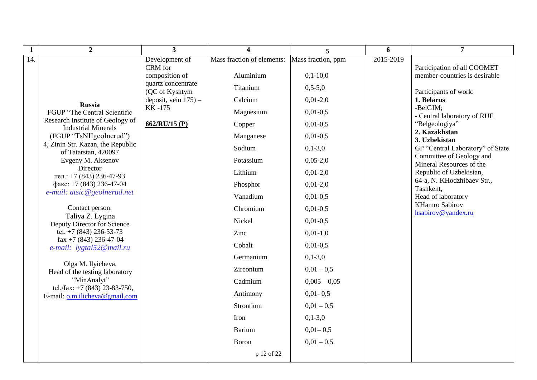| $\mathbf{1}$ | $\boldsymbol{2}$                                                                 | $\overline{3}$                       | 4                          | 5                       | 6         | $\overline{7}$                                               |  |                       |  |
|--------------|----------------------------------------------------------------------------------|--------------------------------------|----------------------------|-------------------------|-----------|--------------------------------------------------------------|--|-----------------------|--|
| 14.          |                                                                                  | Development of                       | Mass fraction of elements: | Mass fraction, ppm      | 2015-2019 |                                                              |  |                       |  |
|              |                                                                                  | CRM for<br>composition of            | Aluminium                  | $0,1-10,0$              |           | Participation of all COOMET<br>member-countries is desirable |  |                       |  |
|              |                                                                                  | quartz concentrate<br>(QC of Kyshtym | Titanium                   | $0,5-5,0$               |           |                                                              |  |                       |  |
|              |                                                                                  |                                      |                            | deposit, vein $175$ ) – |           |                                                              |  | Calcium<br>$0,01-2,0$ |  |
|              | Russia<br>FGUP "The Central Scientific                                           | KK-175                               | Magnesium                  | $0,01-0,5$              |           | -BelGIM;                                                     |  |                       |  |
|              | Research Institute of Geology of                                                 | 662/RU/15 (P)                        | Copper                     | $0,01-0,5$              |           | - Central laboratory of RUE<br>"Belgeologiya"                |  |                       |  |
|              | <b>Industrial Minerals</b>                                                       |                                      |                            |                         |           | 2. Kazakhstan                                                |  |                       |  |
|              | (FGUP "TsNIIgeolnerud")<br>4, Zinin Str. Kazan, the Republic                     |                                      | Manganese                  | $0,01-0,5$              |           | 3. Uzbekistan                                                |  |                       |  |
|              | of Tatarstan, 420097                                                             |                                      | Sodium                     | $0,1-3,0$               |           | GP "Central Laboratory" of State<br>Committee of Geology and |  |                       |  |
|              | Evgeny M. Aksenov<br>Director                                                    |                                      | Potassium                  | $0,05-2,0$              |           | Mineral Resources of the                                     |  |                       |  |
|              | тел.: +7 (843) 236-47-93                                                         |                                      | Lithium                    | $0,01-2,0$              |           | Republic of Uzbekistan,<br>64-a, N. KHodzhibaev Str.,        |  |                       |  |
|              | факс: +7 (843) 236-47-04                                                         |                                      | Phosphor                   | $0,01-2,0$              |           | Tashkent,                                                    |  |                       |  |
|              | e-mail: atsic@geolnerud.net                                                      |                                      | Vanadium                   | $0,01-0,5$              |           | Head of laboratory                                           |  |                       |  |
|              | Contact person:                                                                  |                                      | Chromium                   | $0,01-0,5$              |           | <b>KHamro Sabirov</b><br>hsabirov@yandex.ru                  |  |                       |  |
|              | Taliya Z. Lygina<br>Deputy Director for Science                                  |                                      | Nickel                     | $0,01-0,5$              |           |                                                              |  |                       |  |
|              | tel. +7 (843) 236-53-73                                                          |                                      | Zinc                       | $0,01-1,0$              |           |                                                              |  |                       |  |
|              | fax $+7$ (843) 236-47-04<br>e-mail: lygtal52@mail.ru                             |                                      | Cobalt                     | $0,01-0,5$              |           |                                                              |  |                       |  |
|              |                                                                                  |                                      | Germanium                  | $0,1-3,0$               |           |                                                              |  |                       |  |
|              | Olga M. Ilyicheva,<br>Head of the testing laboratory                             |                                      | Zirconium                  | $0,01-0,5$              |           |                                                              |  |                       |  |
|              | "MinAnalyt"<br>tel./fax: $+7$ (843) 23-83-750,<br>E-mail: o.m.ilicheva@gmail.com |                                      | Cadmium                    | $0,005 - 0,05$          |           |                                                              |  |                       |  |
|              |                                                                                  |                                      | Antimony                   | $0,01 - 0,5$            |           |                                                              |  |                       |  |
|              |                                                                                  |                                      | Strontium                  | $0,01 - 0,5$            |           |                                                              |  |                       |  |
|              |                                                                                  |                                      | Iron                       | $0,1-3,0$               |           |                                                              |  |                       |  |
|              |                                                                                  |                                      | <b>Barium</b>              | $0,01-0,5$              |           |                                                              |  |                       |  |
|              |                                                                                  |                                      | Boron                      | $0,01-0,5$              |           |                                                              |  |                       |  |
|              |                                                                                  |                                      | p 12 of 22                 |                         |           |                                                              |  |                       |  |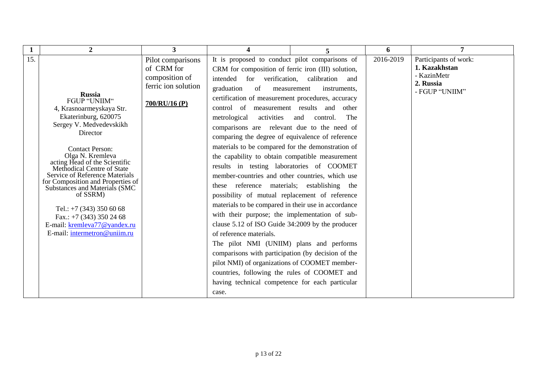| $\mathbf{1}$ | $\overline{2}$                                                                                                                                                                                                                                                                                                                                                                                                                                                                        | 3                                                                                         | 4                                                                                                                                                                                                                                                                                                                                                                                                                                                                                                                                                                                                                                                                                                                                                                                                                                                                                                                                                                                                                                                                                                                                                                    |                                                              | 6         | 7                                                                                    |
|--------------|---------------------------------------------------------------------------------------------------------------------------------------------------------------------------------------------------------------------------------------------------------------------------------------------------------------------------------------------------------------------------------------------------------------------------------------------------------------------------------------|-------------------------------------------------------------------------------------------|----------------------------------------------------------------------------------------------------------------------------------------------------------------------------------------------------------------------------------------------------------------------------------------------------------------------------------------------------------------------------------------------------------------------------------------------------------------------------------------------------------------------------------------------------------------------------------------------------------------------------------------------------------------------------------------------------------------------------------------------------------------------------------------------------------------------------------------------------------------------------------------------------------------------------------------------------------------------------------------------------------------------------------------------------------------------------------------------------------------------------------------------------------------------|--------------------------------------------------------------|-----------|--------------------------------------------------------------------------------------|
| 15.          | <b>Russia</b><br>FGUP "UNIIM"<br>4, Krasnoarmeyskaya Str.<br>Ekaterinburg, 620075<br>Sergey V. Medvedevskikh<br>Director<br><b>Contact Person:</b><br>Olga N. Kremleva<br>acting Head of the Scientific<br>Methodical Centre of State<br>Service of Reference Materials<br>for Composition and Properties of<br>Substances and Materials (SMC<br>of SSRM)<br>Tel.: $+7$ (343) 350 60 68<br>Fax.: $+7$ (343) 350 24 68<br>E-mail: kremleva77@yandex.ru<br>E-mail: intermetron@uniim.ru | Pilot comparisons<br>of CRM for<br>composition of<br>ferric ion solution<br>700/RU/16 (P) | It is proposed to conduct pilot comparisons of<br>CRM for composition of ferric iron (III) solution,<br>intended for verification, calibration<br>graduation<br>of<br>certification of measurement procedures, accuracy<br>control of measurement results and other<br>metrological<br>activities<br>comparisons are relevant due to the need of<br>comparing the degree of equivalence of reference<br>materials to be compared for the demonstration of<br>the capability to obtain compatible measurement<br>results in testing laboratories of COOMET<br>member-countries and other countries, which use<br>these reference materials; establishing the<br>possibility of mutual replacement of reference<br>materials to be compared in their use in accordance<br>with their purpose; the implementation of sub-<br>clause 5.12 of ISO Guide 34:2009 by the producer<br>of reference materials.<br>The pilot NMI (UNIIM) plans and performs<br>comparisons with participation (by decision of the<br>pilot NMI) of organizations of COOMET member-<br>countries, following the rules of COOMET and<br>having technical competence for each particular<br>case. | and<br>measurement<br>instruments,<br>The<br>and<br>control. | 2016-2019 | Participants of work:<br>1. Kazakhstan<br>- KazinMetr<br>2. Russia<br>- FGUP "UNIIM" |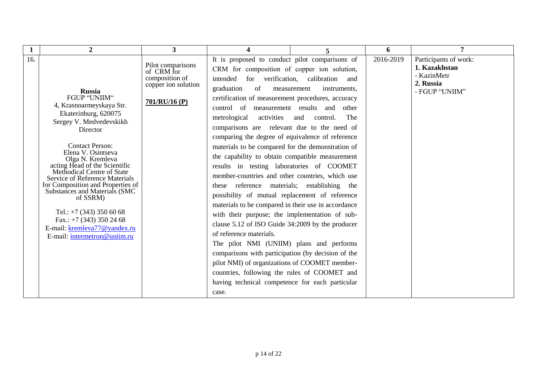| 1   | $\overline{2}$                                                                                                                                                                                                                                                                                                                                                                                                                                                                                              | 3                                                                                         | 4                                                                                                                                                                                                                                                                                                                                                                                                                                                                                                                                                                                                                                                                                                                                                                                                                                                                                                                                                                                                                                                                                                                               | 5                                                                                             | 6         | 7                                                                                    |
|-----|-------------------------------------------------------------------------------------------------------------------------------------------------------------------------------------------------------------------------------------------------------------------------------------------------------------------------------------------------------------------------------------------------------------------------------------------------------------------------------------------------------------|-------------------------------------------------------------------------------------------|---------------------------------------------------------------------------------------------------------------------------------------------------------------------------------------------------------------------------------------------------------------------------------------------------------------------------------------------------------------------------------------------------------------------------------------------------------------------------------------------------------------------------------------------------------------------------------------------------------------------------------------------------------------------------------------------------------------------------------------------------------------------------------------------------------------------------------------------------------------------------------------------------------------------------------------------------------------------------------------------------------------------------------------------------------------------------------------------------------------------------------|-----------------------------------------------------------------------------------------------|-----------|--------------------------------------------------------------------------------------|
| 16. | <b>Russia</b><br>FGUP "UNIIM"<br>4, Krasnoarmeyskaya Str.<br>Ekaterinburg, 620075<br>Sergey V. Medvedevskikh<br>Director<br><b>Contact Person:</b><br>Elena V. Osintseva<br>Olga N. Kremleva<br>acting Head of the Scientific<br>Methodical Centre of State<br>Service of Reference Materials<br>for Composition and Properties of<br>Substances and Materials (SMC<br>of SSRM)<br>Tel.: $+7$ (343) 350 60 68<br>Fax.: $+7$ (343) 350 24 68<br>E-mail: kremleva77@yandex.ru<br>E-mail: intermetron@uniim.ru | Pilot comparisons<br>of CRM for<br>composition of<br>copper ion solution<br>701/RU/16 (P) | It is proposed to conduct pilot comparisons of<br>CRM for composition of copper ion solution,<br>intended<br>graduation<br>of<br>certification of measurement procedures, accuracy<br>control of measurement results and other<br>activities<br>metrological<br>comparisons are relevant due to the need of<br>comparing the degree of equivalence of reference<br>materials to be compared for the demonstration of<br>the capability to obtain compatible measurement<br>results in testing laboratories of COOMET<br>member-countries and other countries, which use<br>these reference materials; establishing the<br>possibility of mutual replacement of reference<br>materials to be compared in their use in accordance<br>with their purpose; the implementation of sub-<br>clause 5.12 of ISO Guide 34:2009 by the producer<br>of reference materials.<br>The pilot NMI (UNIIM) plans and performs<br>comparisons with participation (by decision of the<br>pilot NMI) of organizations of COOMET member-<br>countries, following the rules of COOMET and<br>having technical competence for each particular<br>case. | for verification, calibration<br>and<br>measurement<br>instruments,<br>The<br>and<br>control. | 2016-2019 | Participants of work:<br>1. Kazakhstan<br>- KazinMetr<br>2. Russia<br>- FGUP "UNIIM" |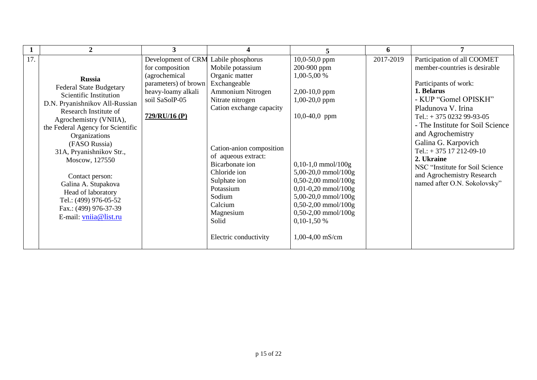|     | $\boldsymbol{2}$                                                                                                                                                                                                                                                                                                                                                                                                               | 3                                                                                                                                       |                                                                                                                                                                                                                                                                                                                                     |                                                                                                                                                                                                                                                                                                                           | 6         |                                                                                                                                                                                                                                                                                                                                                                                                                     |
|-----|--------------------------------------------------------------------------------------------------------------------------------------------------------------------------------------------------------------------------------------------------------------------------------------------------------------------------------------------------------------------------------------------------------------------------------|-----------------------------------------------------------------------------------------------------------------------------------------|-------------------------------------------------------------------------------------------------------------------------------------------------------------------------------------------------------------------------------------------------------------------------------------------------------------------------------------|---------------------------------------------------------------------------------------------------------------------------------------------------------------------------------------------------------------------------------------------------------------------------------------------------------------------------|-----------|---------------------------------------------------------------------------------------------------------------------------------------------------------------------------------------------------------------------------------------------------------------------------------------------------------------------------------------------------------------------------------------------------------------------|
| 17. | <b>Russia</b><br><b>Federal State Budgetary</b><br>Scientific Institution<br>D.N. Pryanishnikov All-Russian<br>Research Institute of<br>Agrochemistry (VNIIA),<br>the Federal Agency for Scientific<br>Organizations<br>(FASO Russia)<br>31A, Pryanishnikov Str.,<br>Moscow, 127550<br>Contact person:<br>Galina A. Stupakova<br>Head of laboratory<br>Tel.: (499) 976-05-52<br>Fax.: (499) 976-37-39<br>E-mail: vniia@list.ru | Development of CRM<br>for composition<br>(agrochemical<br>parameters) of brown<br>heavy-loamy alkali<br>soil SaSolP-05<br>729/RU/16 (P) | Labile phosphorus<br>Mobile potassium<br>Organic matter<br>Exchangeable<br>Ammonium Nitrogen<br>Nitrate nitrogen<br>Cation exchange capacity<br>Cation-anion composition<br>of aqueous extract:<br>Bicarbonate ion<br>Chloride ion<br>Sulphate ion<br>Potassium<br>Sodium<br>Calcium<br>Magnesium<br>Solid<br>Electric conductivity | $10,0-50,0$ ppm<br>200-900 ppm<br>$1,00-5,00%$<br>$2,00-10,0$ ppm<br>1,00-20,0 ppm<br>10,0-40,0 ppm<br>$0,10-1,0$ mmol/ $100g$<br>$5,00-20,0$ mmol/100g<br>$0,50-2,00$ mmol/100g<br>$0,01-0,20$ mmol/100g<br>$5,00-20,0$ mmol/100g<br>$0,50-2,00$ mmol/100g<br>$0,50-2,00$ mmol/100g<br>$0,10-1,50%$<br>$1,00-4,00$ mS/cm | 2017-2019 | Participation of all COOMET<br>member-countries is desirable<br>Participants of work:<br>1. Belarus<br>- KUP "Gomel OPISKH"<br>Pladunova V. Irina<br>Tel.: $+ 375023299 - 93 - 05$<br>- The Institute for Soil Science<br>and Agrochemistry<br>Galina G. Karpovich<br>Tel.: $+ 375 17 212 - 09 - 10$<br>2. Ukraine<br>NSC "Institute for Soil Science<br>and Agrochemistry Research<br>named after O.N. Sokolovsky" |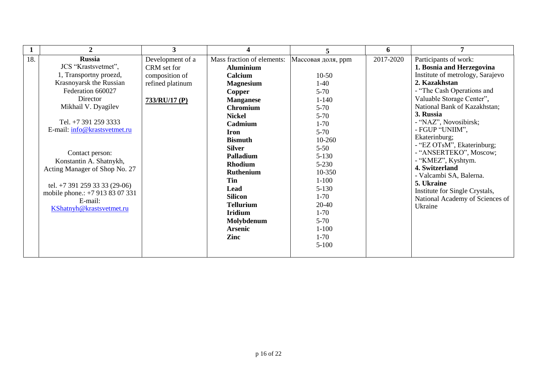| $\mathbf{1}$ | $\mathbf{2}$                                                     | 3                | Δ                          | 5                  | 6         | 7                                            |
|--------------|------------------------------------------------------------------|------------------|----------------------------|--------------------|-----------|----------------------------------------------|
| 18.          | <b>Russia</b>                                                    | Development of a | Mass fraction of elements: | Массовая доля, ppm | 2017-2020 | Participants of work:                        |
|              | JCS "Krastsvetmet",                                              | CRM set for      | <b>Aluminium</b>           |                    |           | 1. Bosnia and Herzegovina                    |
|              | 1, Transportny proezd,                                           | composition of   | Calcium                    | $10-50$            |           | Institute of metrology, Sarajevo             |
|              | Krasnoyarsk the Russian                                          | refined platinum | <b>Magnesium</b>           | $1-40$             |           | 2. Kazakhstan                                |
|              | Federation 660027                                                |                  | Copper                     | $5 - 70$           |           | - "The Cash Operations and                   |
|              | Director                                                         | 733/RU/17 (P)    | <b>Manganese</b>           | $1 - 140$          |           | Valuable Storage Center",                    |
|              | Mikhail V. Dyagilev                                              |                  | <b>Chromium</b>            | $5 - 70$           |           | National Bank of Kazakhstan;                 |
|              |                                                                  |                  | <b>Nickel</b>              | $5 - 70$           |           | 3. Russia                                    |
|              | Tel. +7 391 259 3333                                             |                  | Cadmium                    | $1 - 70$           |           | - "NAZ", Novosibirsk;                        |
|              | E-mail: info@krastsvetmet.ru                                     |                  | <b>Iron</b>                | $5 - 70$           |           | - FGUP "UNIIM",                              |
|              |                                                                  |                  | <b>Bismuth</b>             | 10-260             |           | Ekaterinburg;                                |
|              |                                                                  |                  | <b>Silver</b>              | $5 - 50$           |           | - "EZ OTsM", Ekaterinburg;                   |
|              | Contact person:                                                  |                  | Palladium                  | $5 - 130$          |           | - "ANSERTEKO", Moscow;<br>- "KMEZ", Kyshtym. |
|              | Konstantin A. Shatnykh,                                          |                  | <b>Rhodium</b>             | $5 - 230$          |           | 4. Switzerland                               |
|              | Acting Manager of Shop No. 27                                    |                  | Ruthenium                  | 10-350             |           | - Valcambi SA, Balerna.                      |
|              |                                                                  |                  | Tin                        | $1 - 100$          |           | 5. Ukraine                                   |
|              | tel. +7 391 259 33 33 (29-06)<br>mobile phone.: +7 913 83 07 331 |                  | Lead                       | $5 - 130$          |           | Institute for Single Crystals,               |
|              | E-mail:                                                          |                  | <b>Silicon</b>             | $1 - 70$           |           | National Academy of Sciences of              |
|              | KShatnyh@krastsvetmet.ru                                         |                  | <b>Tellurium</b>           | 20-40              |           | Ukraine                                      |
|              |                                                                  |                  | <b>Iridium</b>             | $1-70$             |           |                                              |
|              |                                                                  |                  | Molybdenum                 | $5 - 70$           |           |                                              |
|              |                                                                  |                  | <b>Arsenic</b>             | $1 - 100$          |           |                                              |
|              |                                                                  |                  | Zinc                       | $1-70$             |           |                                              |
|              |                                                                  |                  |                            | $5-100$            |           |                                              |
|              |                                                                  |                  |                            |                    |           |                                              |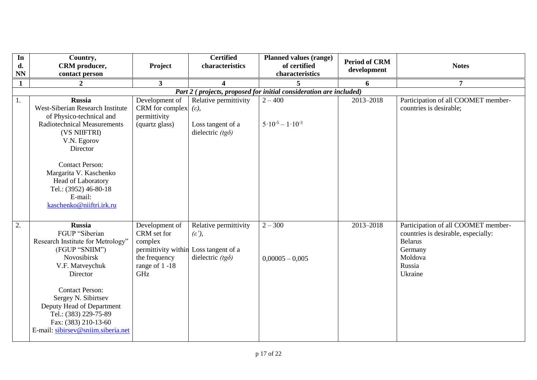| In              | Country,                                                                                                                                                                                                                                                                                                  |                                                                                                                             | <b>Certified</b>                                                       | Planned values (range)                                             | <b>Period of CRM</b> |                                                                                                                                         |
|-----------------|-----------------------------------------------------------------------------------------------------------------------------------------------------------------------------------------------------------------------------------------------------------------------------------------------------------|-----------------------------------------------------------------------------------------------------------------------------|------------------------------------------------------------------------|--------------------------------------------------------------------|----------------------|-----------------------------------------------------------------------------------------------------------------------------------------|
| d.<br><b>NN</b> | CRM producer,<br>contact person                                                                                                                                                                                                                                                                           | Project                                                                                                                     | characteristics                                                        | of certified<br>characteristics                                    | development          | <b>Notes</b>                                                                                                                            |
| $\mathbf{1}$    | $\boldsymbol{2}$                                                                                                                                                                                                                                                                                          | $\mathbf{3}$                                                                                                                |                                                                        | 5                                                                  | 6                    | $\overline{7}$                                                                                                                          |
|                 |                                                                                                                                                                                                                                                                                                           |                                                                                                                             |                                                                        | Part 2 (projects, proposed for initial consideration are included) |                      |                                                                                                                                         |
| 1.              | <b>Russia</b><br>West-Siberian Research Institute<br>of Physico-technical and<br><b>Radiotechnical Measurements</b>                                                                                                                                                                                       | Development of<br>CRM for complex $(\varepsilon)$ ,<br>permittivity<br>(quartz glass)                                       | Relative permittivity<br>Loss tangent of a                             | $2 - 400$<br>$5.10^{-5} - 1.10^{-3}$                               | 2013-2018            | Participation of all COOMET member-<br>countries is desirable;                                                                          |
|                 | (VS NIIFTRI)<br>V.N. Egorov<br>Director                                                                                                                                                                                                                                                                   |                                                                                                                             | dielectric $(tg\delta)$                                                |                                                                    |                      |                                                                                                                                         |
|                 | <b>Contact Person:</b><br>Margarita V. Kaschenko<br>Head of Laboratory<br>Tel.: (3952) 46-80-18<br>E-mail:<br>kaschenko@niiftri.irk.ru                                                                                                                                                                    |                                                                                                                             |                                                                        |                                                                    |                      |                                                                                                                                         |
| 2.              | <b>Russia</b><br>FGUP "Siberian<br>Research Institute for Metrology"<br>(FGUP "SNIIM")<br>Novosibirsk<br>V.F. Matveychuk<br>Director<br><b>Contact Person:</b><br>Sergey N. Sibirtsev<br>Deputy Head of Department<br>Tel.: (383) 229-75-89<br>Fax: (383) 210-13-60<br>E-mail: sibirsev@sniim.siberia.net | Development of<br>CRM set for<br>complex<br>permittivity within Loss tangent of a<br>the frequency<br>range of 1 -18<br>GHz | Relative permittivity<br>$(\varepsilon')$ ,<br>dielectric $(tg\delta)$ | $2 - 300$<br>$0,00005 - 0,005$                                     | 2013-2018            | Participation of all COOMET member-<br>countries is desirable, especially:<br><b>Belarus</b><br>Germany<br>Moldova<br>Russia<br>Ukraine |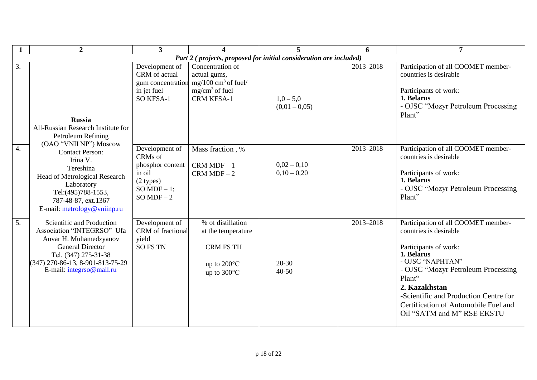| 1                | $\overline{2}$                                                                                                                                                                                         | $\mathbf{3}$                                                                                            |                                                                                                                               | 5                                                                  | 6         | $\overline{7}$                                                                                                                                                                                                                                                                                           |
|------------------|--------------------------------------------------------------------------------------------------------------------------------------------------------------------------------------------------------|---------------------------------------------------------------------------------------------------------|-------------------------------------------------------------------------------------------------------------------------------|--------------------------------------------------------------------|-----------|----------------------------------------------------------------------------------------------------------------------------------------------------------------------------------------------------------------------------------------------------------------------------------------------------------|
|                  |                                                                                                                                                                                                        |                                                                                                         |                                                                                                                               | Part 2 (projects, proposed for initial consideration are included) |           |                                                                                                                                                                                                                                                                                                          |
| 3.               | <b>Russia</b><br>All-Russian Research Institute for<br>Petroleum Refining<br>(OAO "VNII NP") Moscow                                                                                                    | Development of<br>CRM of actual<br>in jet fuel<br>SO KFSA-1                                             | Concentration of<br>actual gums,<br>gum concentration $mg/100 \text{ cm}^3$ of fuel/<br>$mg/cm3$ of fuel<br><b>CRM KFSA-1</b> | $1,0-5,0$<br>$(0,01 - 0,05)$                                       | 2013-2018 | Participation of all COOMET member-<br>countries is desirable<br>Participants of work:<br>1. Belarus<br>- OJSC "Mozyr Petroleum Processing<br>Plant"                                                                                                                                                     |
| $\overline{4}$ . | <b>Contact Person:</b><br>Irina V.<br>Tereshina<br>Head of Metrological Research<br>Laboratory<br>Tel:(495)788-1553,<br>787-48-87, ext.1367<br>E-mail: metrology@vniinp.ru                             | Development of<br>CRMs of<br>phosphor content<br>in oil<br>$(2$ types)<br>SO MDF $-1$ ;<br>$SO MDF - 2$ | Mass fraction, %<br>$CRM MDF-1$<br>$CRM MDF - 2$                                                                              | $0,02 - 0,10$<br>$0,10-0,20$                                       | 2013-2018 | Participation of all COOMET member-<br>countries is desirable<br>Participants of work:<br>1. Belarus<br>- OJSC "Mozyr Petroleum Processing<br>Plant"                                                                                                                                                     |
| 5.               | Scientific and Production<br>Association "INTEGRSO" Ufa<br>Anvar H. Muhamedzyanov<br><b>General Director</b><br>Tel. (347) 275-31-38<br>$(347)$ 270-86-13, 8-901-813-75-29<br>E-mail: integrso@mail.ru | Development of<br>CRM of fractional<br>yield<br><b>SO FS TN</b>                                         | % of distillation<br>at the temperature<br><b>CRM FS TH</b><br>up to $200^{\circ}$ C<br>up to 300°C                           | $20-30$<br>$40 - 50$                                               | 2013-2018 | Participation of all COOMET member-<br>countries is desirable<br>Participants of work:<br>1. Belarus<br>- OJSC "NAPHTAN"<br>- OJSC "Mozyr Petroleum Processing<br>Plant"<br>2. Kazakhstan<br>-Scientific and Production Centre for<br>Certification of Automobile Fuel and<br>Oil "SATM and M" RSE EKSTU |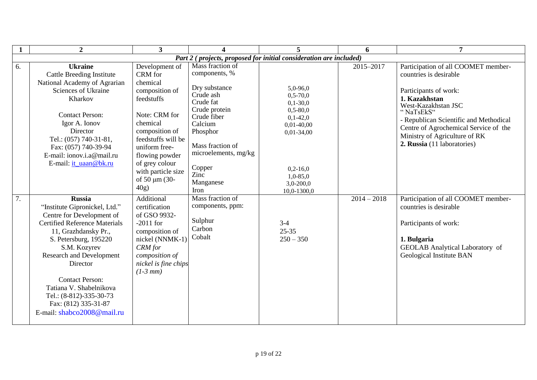|    | $\overline{2}$                                                                                                                                                                                                                                                                                                                                                                                                                  | $\mathbf{3}$                                                                                                                                                                                                                                                         |                                                                                                                                                                                 | 5                                                                                                      | 6             | 7                                                                                                                                                                                                                                                                                              |
|----|---------------------------------------------------------------------------------------------------------------------------------------------------------------------------------------------------------------------------------------------------------------------------------------------------------------------------------------------------------------------------------------------------------------------------------|----------------------------------------------------------------------------------------------------------------------------------------------------------------------------------------------------------------------------------------------------------------------|---------------------------------------------------------------------------------------------------------------------------------------------------------------------------------|--------------------------------------------------------------------------------------------------------|---------------|------------------------------------------------------------------------------------------------------------------------------------------------------------------------------------------------------------------------------------------------------------------------------------------------|
|    |                                                                                                                                                                                                                                                                                                                                                                                                                                 |                                                                                                                                                                                                                                                                      |                                                                                                                                                                                 | Part 2 (projects, proposed for initial consideration are included)                                     |               |                                                                                                                                                                                                                                                                                                |
| 6. | <b>Ukraine</b><br><b>Cattle Breeding Institute</b><br>National Academy of Agrarian<br>Sciences of Ukraine<br>Kharkov<br><b>Contact Person:</b><br>Igor A. Ionov<br>Director<br>Tel.: (057) 740-31-81,<br>Fax: (057) 740-39-94                                                                                                                                                                                                   | Development of<br>CRM for<br>chemical<br>composition of<br>feedstuffs<br>Note: CRM for<br>chemical<br>composition of<br>feedstuffs will be<br>uniform free-                                                                                                          | Mass fraction of<br>components, %<br>Dry substance<br>Crude ash<br>Crude fat<br>Crude protein<br>Crude fiber<br>Calcium<br>Phosphor<br>Mass fraction of<br>microelements, mg/kg | $5,0-96,0$<br>$0,5-70,0$<br>$0,1-30,0$<br>$0,5 - 80,0$<br>$0,1-42,0$<br>$0.01 - 40.00$<br>$0,01-34,00$ | 2015-2017     | Participation of all COOMET member-<br>countries is desirable<br>Participants of work:<br>1. Kazakhstan<br>West-Kazakhstan JSC<br>"NaTsEkS"<br>- Republican Scientific and Methodical<br>Centre of Agrochemical Service of the<br>Ministry of Agriculture of RK<br>2. Russia (11 laboratories) |
| 7. | E-mail: ionov.i.a@mail.ru<br>E-mail: it_uaan@bk.ru<br><b>Russia</b><br>"Institute Gipronickel, Ltd."<br>Centre for Development of<br><b>Certified Reference Materials</b><br>11, Grazhdansky Pr.,<br>S. Petersburg, 195220<br>S.M. Kozyrev<br><b>Research and Development</b><br>Director<br><b>Contact Person:</b><br>Tatiana V. Shabelnikova<br>Tel.: (8-812)-335-30-73<br>Fax: (812) 335-31-87<br>E-mail: shabco2008@mail.ru | flowing powder<br>of grey colour<br>with particle size<br>of 50 $\mu$ m (30-<br>$40g$ )<br>Additional<br>certification<br>of GSO 9932-<br>$-2011$ for<br>composition of<br>nickel (NNMK-1)<br><b>CRM</b> for<br>composition of<br>nickel is fine chips<br>$(1-3 mm)$ | Copper<br>Zinc<br>Manganese<br>Iron<br>Mass fraction of<br>components, ppm:<br>Sulphur<br>Carbon<br>Cobalt                                                                      | $0,2-16,0$<br>$1,0-85,0$<br>$3,0-200,0$<br>10,0-1300,0<br>$3-4$<br>$25 - 35$<br>$250 - 350$            | $2014 - 2018$ | Participation of all COOMET member-<br>countries is desirable<br>Participants of work:<br>1. Bulgaria<br>GEOLAB Analytical Laboratory of<br>Geological Institute BAN                                                                                                                           |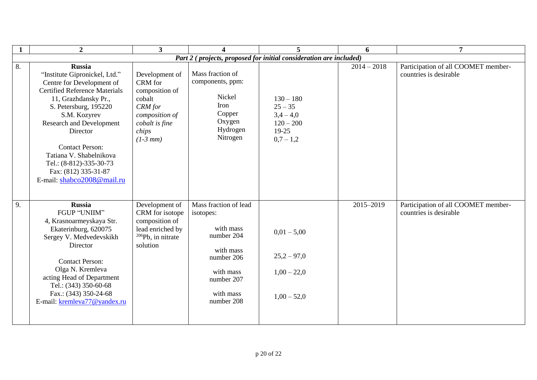|    | $\overline{2}$                                                                                                                                                                                                                                                                                                                                                            | $\mathbf{3}$                                                                                                                       |                                                                                                                                                | 5                                                                            | 6             | $\overline{7}$                                                |  |  |  |  |  |
|----|---------------------------------------------------------------------------------------------------------------------------------------------------------------------------------------------------------------------------------------------------------------------------------------------------------------------------------------------------------------------------|------------------------------------------------------------------------------------------------------------------------------------|------------------------------------------------------------------------------------------------------------------------------------------------|------------------------------------------------------------------------------|---------------|---------------------------------------------------------------|--|--|--|--|--|
|    | Part 2 (projects, proposed for initial consideration are included)                                                                                                                                                                                                                                                                                                        |                                                                                                                                    |                                                                                                                                                |                                                                              |               |                                                               |  |  |  |  |  |
| 8. | <b>Russia</b><br>"Institute Gipronickel, Ltd."<br>Centre for Development of<br><b>Certified Reference Materials</b><br>11, Grazhdansky Pr.,<br>S. Petersburg, 195220<br>S.M. Kozyrev<br><b>Research and Development</b><br>Director<br><b>Contact Person:</b><br>Tatiana V. Shabelnikova<br>Tel.: (8-812)-335-30-73<br>Fax: (812) 335-31-87<br>E-mail: shabco2008@mail.ru | Development of<br>CRM for<br>composition of<br>cobalt<br><b>CRM</b> for<br>composition of<br>cobalt is fine<br>chips<br>$(1-3 mm)$ | Mass fraction of<br>components, ppm:<br>Nickel<br>Iron<br>Copper<br>Oxygen<br>Hydrogen<br>Nitrogen                                             | $130 - 180$<br>$25 - 35$<br>$3,4-4,0$<br>$120 - 200$<br>$19-25$<br>$0,7-1,2$ | $2014 - 2018$ | Participation of all COOMET member-<br>countries is desirable |  |  |  |  |  |
| 9. | <b>Russia</b><br>FGUP "UNIIM"<br>4, Krasnoarmeyskaya Str.<br>Ekaterinburg, 620075<br>Sergey V. Medvedevskikh<br>Director<br><b>Contact Person:</b><br>Olga N. Kremleva<br>acting Head of Department<br>Tel.: (343) 350-60-68<br>Fax.: (343) 350-24-68<br>E-mail: kremleva77@yandex.ru                                                                                     | Development of<br>CRM for isotope<br>composition of<br>lead enriched by<br>$206Pb$ , in nitrate<br>solution                        | Mass fraction of lead<br>isotopes:<br>with mass<br>number 204<br>with mass<br>number 206<br>with mass<br>number 207<br>with mass<br>number 208 | $0,01 - 5,00$<br>$25,2 - 97,0$<br>$1,00 - 22,0$<br>$1,00 - 52,0$             | 2015-2019     | Participation of all COOMET member-<br>countries is desirable |  |  |  |  |  |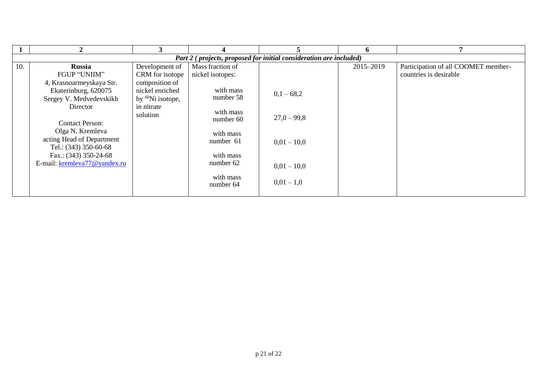|     | Part 2 (projects, proposed for initial consideration are included) |                              |                        |               |           |                                     |  |  |  |  |  |
|-----|--------------------------------------------------------------------|------------------------------|------------------------|---------------|-----------|-------------------------------------|--|--|--|--|--|
| 10. | <b>Russia</b>                                                      | Development of               | Mass fraction of       |               | 2015-2019 | Participation of all COOMET member- |  |  |  |  |  |
|     | FGUP "UNIIM"                                                       | CRM for isotope              | nickel isotopes:       |               |           | countries is desirable              |  |  |  |  |  |
|     | 4, Krasnoarmeyskaya Str.                                           | composition of               |                        |               |           |                                     |  |  |  |  |  |
|     | Ekaterinburg, 620075                                               | nickel enriched              | with mass              | $0,1-68,2$    |           |                                     |  |  |  |  |  |
|     | Sergey V. Medvedevskikh                                            | by <sup>60</sup> Ni isotope, | number 58              |               |           |                                     |  |  |  |  |  |
|     | Director                                                           | in nitrate                   |                        |               |           |                                     |  |  |  |  |  |
|     |                                                                    | solution                     | with mass<br>number 60 | $27,0-99,8$   |           |                                     |  |  |  |  |  |
|     | <b>Contact Person:</b>                                             |                              |                        |               |           |                                     |  |  |  |  |  |
|     | Olga N. Kremleva                                                   |                              | with mass              |               |           |                                     |  |  |  |  |  |
|     | acting Head of Department                                          |                              | number 61              | $0,01 - 10,0$ |           |                                     |  |  |  |  |  |
|     | Tel.: (343) 350-60-68                                              |                              |                        |               |           |                                     |  |  |  |  |  |
|     | Fax.: (343) 350-24-68                                              |                              | with mass              |               |           |                                     |  |  |  |  |  |
|     | E-mail: kremleva77@yandex.ru                                       |                              | number 62              | $0,01 - 10,0$ |           |                                     |  |  |  |  |  |
|     |                                                                    |                              | with mass              |               |           |                                     |  |  |  |  |  |
|     |                                                                    |                              | number 64              | $0,01-1,0$    |           |                                     |  |  |  |  |  |
|     |                                                                    |                              |                        |               |           |                                     |  |  |  |  |  |